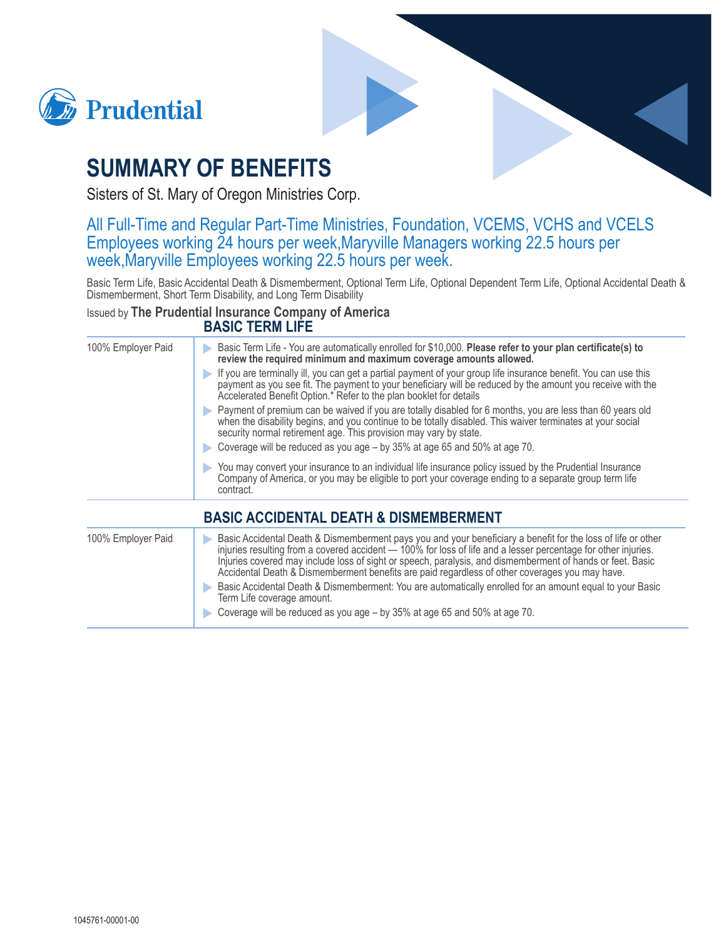



## **SUMMARY OF BENEFITS**

Sisters of St. Mary of Oregon Ministries Corp.

# All Full-Time and Regular Part-Time Ministries, Foundation, VCEMS, VCHS and VCELS Employees working 24 hours per week, Maryville Managers working 22.5 hours per week, Maryville Employees working 22.5 hours per

Basic Term Life, Basic Accidental Death & Dismemberment, Optional Term Life, Optional Dependent Term Life, Optional Accidental Death & Dismemberment, Short Term Disability, and Long Term Disability

#### Issued by The Prudential Insurance Company of America **BASIC TERM LIFE**

| 100% Employer Paid | Basic Term Life - You are automatically enrolled for \$10,000. Please refer to your plan certificate(s) to<br>review the required minimum and maximum coverage amounts allowed.                                                                                                                                                                                                                                                                                                                                                                                                                                                                                       |
|--------------------|-----------------------------------------------------------------------------------------------------------------------------------------------------------------------------------------------------------------------------------------------------------------------------------------------------------------------------------------------------------------------------------------------------------------------------------------------------------------------------------------------------------------------------------------------------------------------------------------------------------------------------------------------------------------------|
|                    | If you are terminally ill, you can get a partial payment of your group life insurance benefit. You can use this<br>payment as you see fit. The payment to your beneficiary will be reduced by the amount you receive with the<br>Accelerated Benefit Option.* Refer to the plan booklet for details                                                                                                                                                                                                                                                                                                                                                                   |
|                    | Payment of premium can be waived if you are totally disabled for 6 months, you are less than 60 years old<br>when the disability begins, and you continue to be totally disabled. This waiver terminates at your social<br>security normal retirement age. This provision may vary by state.<br>Coverage will be reduced as you age - by 35% at age 65 and 50% at age 70.                                                                                                                                                                                                                                                                                             |
|                    | You may convert your insurance to an individual life insurance policy issued by the Prudential Insurance<br>Company of America, or you may be eligible to port your coverage ending to a separate group term life<br>contract.                                                                                                                                                                                                                                                                                                                                                                                                                                        |
|                    | <b>BASIC ACCIDENTAL DEATH &amp; DISMEMBERMENT</b>                                                                                                                                                                                                                                                                                                                                                                                                                                                                                                                                                                                                                     |
| 100% Employer Paid | Basic Accidental Death & Dismemberment pays you and your beneficiary a benefit for the loss of life or other<br>injuries resulting from a covered accident - 100% for loss of life and a lesser percentage for other injuries.<br>Injuries covered may include loss of sight or speech, paralysis, and dismemberment of hands or feet. Basic<br>Accidental Death & Dismemberment benefits are paid regardless of other coverages you may have.<br>Basic Accidental Death & Dismemberment: You are automatically enrolled for an amount equal to your Basic<br>Term Life coverage amount.<br>Coverage will be reduced as you age – by 35% at age 65 and 50% at age 70. |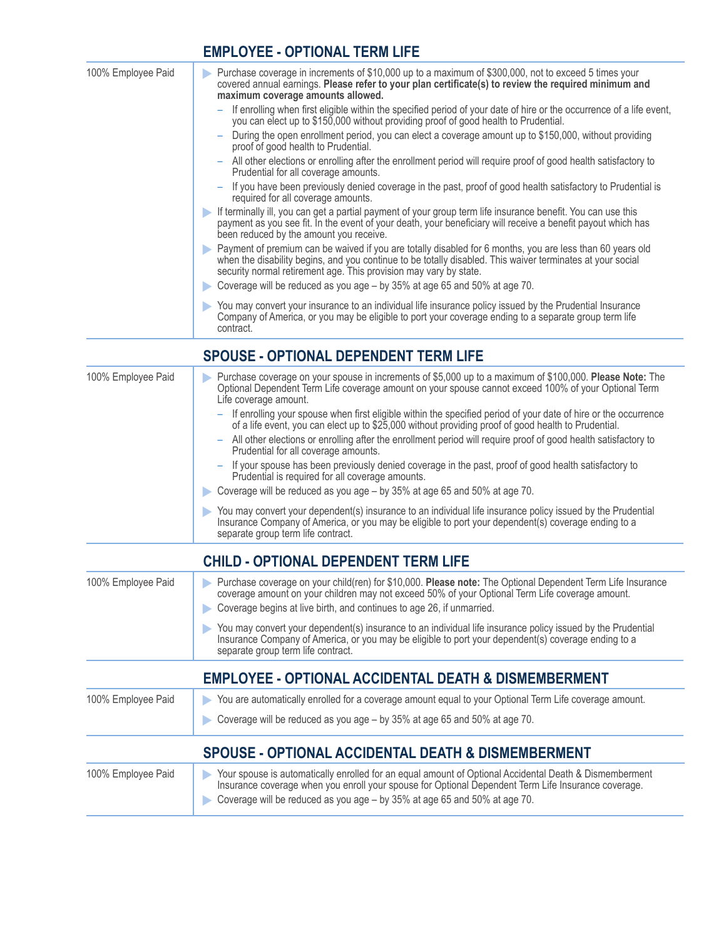### **EMPLOYEE - OPTIONAL TERM LIFE**

| 100% Employee Paid | Purchase coverage in increments of \$10,000 up to a maximum of \$300,000, not to exceed 5 times your<br>covered annual earnings. Please refer to your plan certificate(s) to review the required minimum and<br>maximum coverage amounts allowed.                                            |
|--------------------|----------------------------------------------------------------------------------------------------------------------------------------------------------------------------------------------------------------------------------------------------------------------------------------------|
|                    | If enrolling when first eligible within the specified period of your date of hire or the occurrence of a life event,<br>you can elect up to \$150,000 without providing proof of good health to Prudential.                                                                                  |
|                    | During the open enrollment period, you can elect a coverage amount up to \$150,000, without providing<br>proof of good health to Prudential.                                                                                                                                                 |
|                    | All other elections or enrolling after the enrollment period will require proof of good health satisfactory to<br>Prudential for all coverage amounts.                                                                                                                                       |
|                    | If you have been previously denied coverage in the past, proof of good health satisfactory to Prudential is<br>required for all coverage amounts.                                                                                                                                            |
|                    | If terminally ill, you can get a partial payment of your group term life insurance benefit. You can use this<br>payment as you see fit. In the event of your death, your beneficiary will receive a benefit payout which has<br>been reduced by the amount you receive.                      |
|                    | Payment of premium can be waived if you are totally disabled for 6 months, you are less than 60 years old<br>when the disability begins, and you continue to be totally disabled. This waiver terminates at your social<br>security normal retirement age. This provision may vary by state. |
|                    | Coverage will be reduced as you age - by 35% at age 65 and 50% at age 70.                                                                                                                                                                                                                    |
|                    | You may convert your insurance to an individual life insurance policy issued by the Prudential Insurance<br>Company of America, or you may be eligible to port your coverage ending to a separate group term life<br>contract.                                                               |
|                    | <b>SPOUSE - OPTIONAL DEPENDENT TERM LIFE</b>                                                                                                                                                                                                                                                 |

| 100% Employee Paid  | Purchase coverage on your spouse in increments of \$5,000 up to a maximum of \$100,000. Please Note: The<br>Optional Dependent Term Life coverage amount on your spouse cannot exceed 100% of your Optional Term<br>Life coverage amount.                |
|---------------------|----------------------------------------------------------------------------------------------------------------------------------------------------------------------------------------------------------------------------------------------------------|
|                     | If enrolling your spouse when first eligible within the specified period of your date of hire or the occurrence<br>of a life event, you can elect up to \$25,000 without providing proof of good health to Prudential.                                   |
|                     | All other elections or enrolling after the enrollment period will require proof of good health satisfactory to<br>-<br>Prudential for all coverage amounts.                                                                                              |
|                     | If your spouse has been previously denied coverage in the past, proof of good health satisfactory to<br>Prudential is required for all coverage amounts.                                                                                                 |
|                     | Coverage will be reduced as you age - by 35% at age 65 and 50% at age 70.                                                                                                                                                                                |
|                     | You may convert your dependent(s) insurance to an individual life insurance policy issued by the Prudential<br>Insurance Company of America, or you may be eligible to port your dependent(s) coverage ending to a<br>separate group term life contract. |
|                     | <b>CHILD - OPTIONAL DEPENDENT TERM LIFE</b>                                                                                                                                                                                                              |
| 1000/ Employee Doid | Purchase coverage on vour objd/ron) for \$10,000 <b>Places note:</b> The Ontional Depardent Term Life Insurance                                                                                                                                          |

| 100% Employee Paid | Purchase coverage on your child(ren) for \$10,000. Please note: The Optional Dependent Term Life Insurance<br>coverage amount on your children may not exceed 50% of your Optional Term Life coverage amount.<br>Coverage begins at live birth, and continues to age 26, if unmarried. |
|--------------------|----------------------------------------------------------------------------------------------------------------------------------------------------------------------------------------------------------------------------------------------------------------------------------------|
|                    | You may convert your dependent(s) insurance to an individual life insurance policy issued by the Prudential<br>Insurance Company of America, or you may be eligible to port your dependent(s) coverage ending to a<br>separate group term life contract.                               |
|                    | <b>EMPLOYEE - OPTIONAL ACCIDENTAL DEATH &amp; DISMEMBERMENT</b>                                                                                                                                                                                                                        |
| 100% Employee Paid | You are automatically enrolled for a coverage amount equal to your Optional Term Life coverage amount.<br>D                                                                                                                                                                            |
|                    | Coverage will be reduced as you age – by 35% at age 65 and 50% at age 70.                                                                                                                                                                                                              |

### SPOUSE - OPTIONAL ACCIDENTAL DEATH & DISMEMBERMENT

| 100% Employee Paid | Your spouse is automatically enrolled for an equal amount of Optional Accidental Death & Dismemberment<br>Insurance coverage when you enroll your spouse for Optional Dependent Term Life Insurance coverage.<br>Coverage will be reduced as you age - by 35% at age 65 and 50% at age 70. |
|--------------------|--------------------------------------------------------------------------------------------------------------------------------------------------------------------------------------------------------------------------------------------------------------------------------------------|
|--------------------|--------------------------------------------------------------------------------------------------------------------------------------------------------------------------------------------------------------------------------------------------------------------------------------------|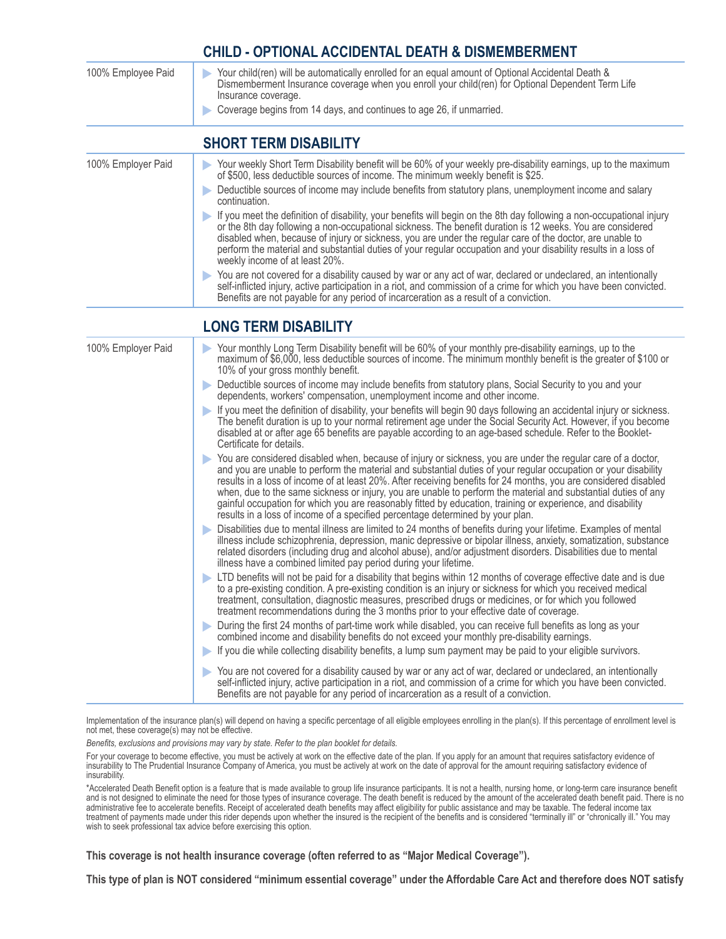#### **CHILD - OPTIONAL ACCIDENTAL DEATH & DISMEMBERMENT**

| 100% Employee Paid | Your child(ren) will be automatically enrolled for an equal amount of Optional Accidental Death &<br>Dismemberment Insurance coverage when you enroll your child(ren) for Optional Dependent Term Life<br>Insurance coverage.<br>Coverage begins from 14 days, and continues to age 26, if unmarried.                                                                                                                                                                                                 |
|--------------------|-------------------------------------------------------------------------------------------------------------------------------------------------------------------------------------------------------------------------------------------------------------------------------------------------------------------------------------------------------------------------------------------------------------------------------------------------------------------------------------------------------|
|                    | <b>SHORT TERM DISABILITY</b>                                                                                                                                                                                                                                                                                                                                                                                                                                                                          |
| 100% Employer Paid | Your weekly Short Term Disability benefit will be 60% of your weekly pre-disability earnings, up to the maximum<br>of \$500, less deductible sources of income. The minimum weekly benefit is \$25.                                                                                                                                                                                                                                                                                                   |
|                    | Deductible sources of income may include benefits from statutory plans, unemployment income and salary<br>continuation.                                                                                                                                                                                                                                                                                                                                                                               |
|                    | If you meet the definition of disability, your benefits will begin on the 8th day following a non-occupational injury<br>or the 8th day following a non-occupational sickness. The benefit duration is 12 weeks. You are considered<br>disabled when, because of injury or sickness, you are under the regular care of the doctor, are unable to<br>perform the material and substantial duties of your regular occupation and your disability results in a loss of<br>weekly income of at least 20%. |
|                    | You are not covered for a disability caused by war or any act of war, declared or undeclared, an intentionally<br>self-inflicted injury, active participation in a riot, and commission of a crime for which you have been convicted.<br>Benefits are not payable for any period of incarceration as a result of a conviction.                                                                                                                                                                        |
|                    | <b>LONG TERM DISABILITY</b>                                                                                                                                                                                                                                                                                                                                                                                                                                                                           |
| 100% Employer Paid | Your monthly Long Term Disability benefit will be 60% of your monthly pre-disability earnings, up to the<br>maximum of \$6,000, less deductible sources of income. The minimum monthly benefit is the greater of \$100 or                                                                                                                                                                                                                                                                             |

- 10% of your gross monthly benefit. Deductible sources of income may include benefits from statutory plans, Social Security to you and your dependents, workers' compensation, unemployment income and other income.
	- If you meet the definition of disability, your benefits will begin 90 days following an accidental injury or sickness. The benefit duration is up to your normal retirement age under the Social Security Act. However, if you become disabled at or after age 65 benefits are payable according to an age-based schedule. Refer to the Booklet-Certificate for details.
	- You are considered disabled when, because of injury or sickness, you are under the regular care of a doctor, and you are unable to perform the material and substantial duties of your regular occupation or your disability results in a loss of income of at least 20%. After receiving benefits for 24 months, you are considered disabled when, due to the same sickness or injury, you are unable to perform the material and substantial duties of any gainful occupation for which you are reasonably fitted by education, training or experience, and disability results in a loss of income of a specified percentage determined by your plan.
	- Disabilities due to mental illness are limited to 24 months of benefits during your lifetime. Examples of mental illness include schizophrenia, depression, manic depressive or bipolar illness, anxiety, somatization, substance related disorders (including drug and alcohol abuse), and/or adjustment disorders. Disabilities due to mental illness have a combined limited pay period during your lifetime.
	- LTD benefits will not be paid for a disability that begins within 12 months of coverage effective date and is due to a pre-existing condition. A pre-existing condition is an injury or sickness for which you received medical treatment, consultation, diagnostic measures, prescribed drugs or medicines, or for which you followed treatment recommendations during the 3 months prior to your effective date of coverage.
	- $\blacktriangleright$ During the first 24 months of part-time work while disabled, you can receive full benefits as long as your combined income and disability benefits do not exceed your monthly pre-disability earnings.
	- If you die while collecting disability benefits, a lump sum payment may be paid to your eligible survivors.
	- You are not covered for a disability caused by war or any act of war, declared or undeclared, an intentionally self-inflicted injury, active participation in a riot, and commission of a crime for which you have been convicted. Benefits are not payable for any period of incarceration as a result of a conviction.

Implementation of the insurance plan(s) will depend on having a specific percentage of all eligible employees enrolling in the plan(s). If this percentage of enrollment level is not met, these coverage(s) may not be effective.

Benefits, exclusions and provisions may vary by state. Refer to the plan booklet for details.

For your coverage to become effective, you must be actively at work on the effective date of the plan. If you apply for an amount that requires satisfactory evidence of insurability to The Prudential Insurance Company of America, you must be actively at work on the date of approval for the amount requiring satisfactory evidence of insurability

\*Accelerated Death Benefit option is a feature that is made available to group life insurance participants. It is not a health, nursing home, or long-term care insurance benefit and is not designed to eliminate the need for those types of insurance coverage. The death benefit is reduced by the amount of the accelerated death benefit paid. There is no administrative fee to accelerate benefits. Receipt of accelerated death benefits may affect eligibility for public assistance and may be taxable. The federal income tax<br>treatment of payments made under this rider depends u wish to seek professional tax advice before exercising this option.

This coverage is not health insurance coverage (often referred to as "Major Medical Coverage").

This type of plan is NOT considered "minimum essential coverage" under the Affordable Care Act and therefore does NOT satisfy